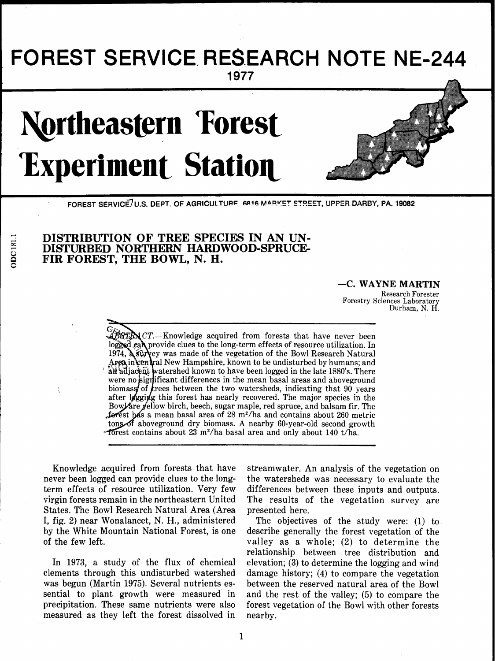## FOREST SERVICE RESEARCH NOTE NE-244 1977

# **Northeastern Forest Experiment Station**



FOREST SERVICE/U.S. DEPT. OF AGRICULTURE, 6816 MARKET STREET, UPPER DARBY, PA. 19082

### **DISTRIBUTION OF TREE SPECIES IN AN UN-DISTURBED NORTHERN HARDWOOD-SPRUCE-FIR FOREST, THE BOWL, N. H.**

#### -C. WAYNE MARTIN

Research Forester Forestry Sciences Laboratory Durham, N. H.

 $\mathbb{Z}$ STR $\mathbb{R}$  CT.—Knowledge acquired from forests that have never been logged cal provide clues to the long-term effects of resource utilization. In 1974,  $\lambda$  survey was made of the vegetation of the Bowl Research Natural Area in central New Hampshire, known to be undisturbed by humans: and ar adjacent watershed known to have been logged in the late 1880's. There were no significant differences in the mean basal areas and above ground biomass of *f* rees between the two watersheds, indicating that  $90$  years after legging this forest has nearly recovered. The major species in the Bow fare yellow birch, beech, sugar maple, red spruce, and balsam fir. The forest has a mean basal area of 28 m<sup>2</sup>/ha and contains about 260 metric tons of aboveground dry biomass. A nearby 60-year-old second growth forest contains about  $23 \text{ m}^2/\text{ha}$  basal area and only about  $140 \text{ t}/\text{ha}$ .

Knowledge acquired from forests that have streamwater. An analysis of the vegetation on never been logged can provide clues to the long- the watersheds was necessary to evaluate the never been logged can provide clues to the long-<br>the watersheds was necessary to evaluate the<br>term effects of resource utilization. Very few differences between these inputs and outputs. term effects of resource utilization. Very few differences between these inputs and outputs.<br>
virgin forests remain in the northeastern United The results of the vegetation survey are States. The Bowl Research Natural Area (Area presented here.<br>I, fig. 2) near Wonalancet, N. H., administered The objective I, fig. **2)** near Wonalancet, N. H., administered The objectives of the study were: (1) to of the few left. valley as a whole; **(2)** to determine the

elements through this undisturbed watershed damage history; **(4)** to compare the vegetation sential to plant growth were measured in and the rest of the valley; (5) to compare the precipitation. These same nutrients were also forest vegetation of the Bowl with other forests measured as they left the forest dissolved in nearby.

The results of the vegetation survey are

describe generally the forest vegetation of the relationship between tree distribution and In 1973, a study of the flux of chemical elevation; **(3)** to determine the logging and wind between the reserved natural area of the Bowl

DDC181.1

 $\overline{1}$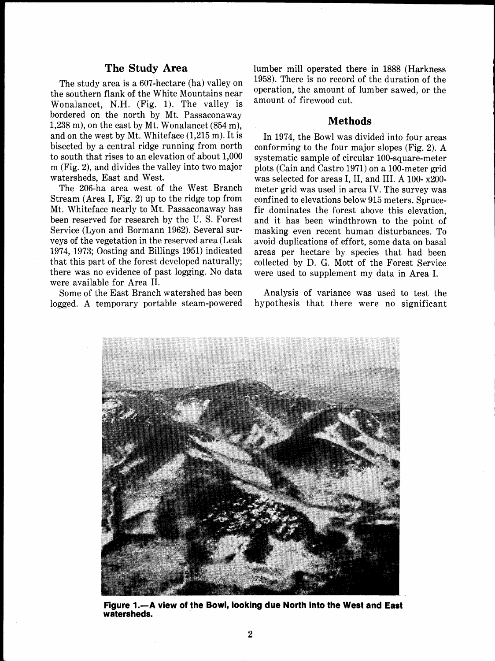#### **The Study Area**

The study area is a 607-hectare (ha) valley on the southern flank of the White Mountains near Wonalancet, N.H. (Fig. 1). The valley is bordered on the north by Mt. Passaconaway 1,238 m), on the east by Mt. Wonalancet (854 m), and on the west by Mt. Whiteface (1,215 m). It is bisected by a central ridge running from north to south that rises to an elevation of about 1,000 m (Fig. 2), and divides the valley into two major watersheds, East and West.

The 206-ha area west of the West Branch Stream (Area I, Fig. **2)** up to the ridge top from Mt. Whiteface nearly to Mt. Passaconaway has been reserved for research by the U. S. Forest Service (Lyon and Bormann 1962). Several surveys of the vegetation in the reserved area (Leak 1974, 1973; Oosting and Billings 1951) indicated that this part of the forest developed naturally; there was no evidence of past logging. No data were available for Area 11.

Some of the East Branch watershed has been logged. A temporary portable steam-powered lumber mill operated there in 1888 (Harkness 1958). There is no record of the duration of the operation, the amount of lumber sawed, or the amount of firewood cut.

#### **Methods**

In 1974, the Bowl was divided into four areas conforming to the four major slopes (Fig. 2). A systematic sample of circular 100-square-meter plots (Cain and Castro 1971) on a 100-meter grid was selected for areas I, 11, and 111. A 100- x200 meter grid was used in area IV. The survey was confined to elevations below 915 meters. Sprucefir dominates the forest above this elevation, and it has been windthrown to the point of masking even recent human disturbances. To avoid duplications of effort, some data on basal areas per hectare by species that had been collected by D. G. Mott of the Forest Service were used to supplement my data in Area I.

Analysis of variance was used to test the hypothesis that there were no significant



**Figure 1.-A view of the Bowl, looking due North into the West and East watersheds.**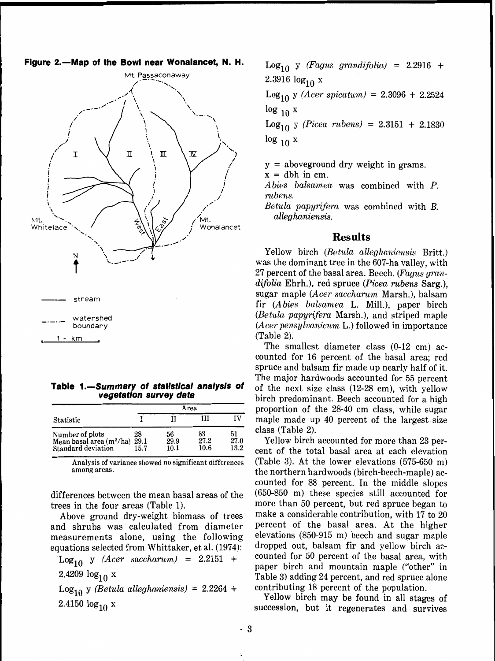#### Figure 2.-Map of the Bowl near Wonalancet, N. H.



Table 1.-Summary of statistical analysis of **vegetation survey data** 

|                                                                     | Area               |                    |                    |                    |  |  |
|---------------------------------------------------------------------|--------------------|--------------------|--------------------|--------------------|--|--|
| Statistic                                                           |                    |                    | ш                  | IV                 |  |  |
| Number of plots<br>Mean basal area $(m^2/ha)$<br>Standard deviation | 28<br>29.1<br>15.7 | 56<br>29.9<br>10.1 | 83<br>27.2<br>10.6 | 51<br>27.0<br>13.2 |  |  |

among areas.

differences between the mean basal areas of the trees in the four areas (Table 1).

Above ground dry-weight biomass of trees and shrubs was calculated from diameter measurements alone, using the following equations selected from Whittaker, et al. (1974):

 $Log_{10}$  y (Acer saccharum) = 2.2151 + 2.4209  $log_{10} x$ Log<sub>10</sub> y (Betula alleghaniensis) = 2.2264 +

2.4150  $log_{10} x$ 

 $Log_{10}$  y (Fagus grandifolia) = 2.2916 + 2.3916  $log_{10} x$ 

 $Log_{10}$  y (*Acer spicatum*) = 2.3096 + 2.2524  $\log_{10} x$ 

 $Log_{10}$  y (Picea rubens) = 2.3151 + 2.1830  $\log_{10} x$ 

y = aboveground dry weight in grams.

 $x =$  dbh in cm.

Abies balsamea was combined with P. ru bens.

Betula papyrifera was combined with B. alleg haniensis.

#### **Results**

Yellow birch (Betula alleghaniensis Britt.) was the dominant tree in the 607-ha valley, with 27 percent of the basal area. Beech. (Fagus gran $difolia$  Ehrh.), red spruce (*Picea rubens* Sarg.). sugar maple (Acer saccharum Marsh.), balsam fir (Abies balsamea L. Mill.), paper birch (Betula papyrifera Marsh.), and striped maple  $(A \text{cer}~pensylvanicum$  L.) followed in importance (Table 2).

The smallest diameter class (0-12 cm) accounted for 16 percent of the basal area; red spruce and balsam fir made up nearly half of it. The major hardwoods accounted for 55 percent of the next size class (12-28 em), with yellow birch predominant. Beech accounted for a high proportion of the 28-40 cm class, while sugar maple made up  $40$  percent of the largest size  $class$  (Table 2).

Yellow birch accounted for more than 23 percent of the total basal area at each elevation Analysis of variance showed no significant differences (Table 3). At the lower elevations  $(575-650 \text{ m})$ the northern hardwoods (birch-beech-maple) accounted for 88 percent. In the middle slopes (650-850 m) these species still accounted for more than 50 percent, but red spruce began to make a considerable contribution, with 17 to 20 percent of the basal area. At the higher elevations (850-915 m) beech and sugar maple dropped out, balsam fir and yellow birch accounted for 50 percent of the basal area, with paper birch and mountain maple ("other" in Table 3) adding 24 percent, and red spruce alone contributing 18 percent of the population.

Yellow birch may be found in all stages of succession, but it regenerates and survives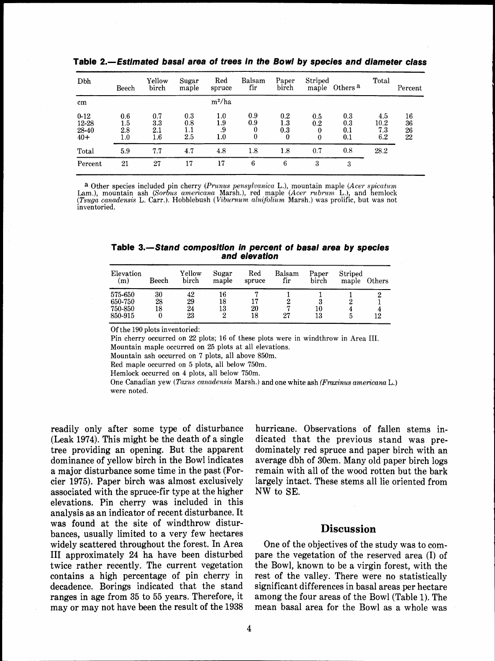| Dbh                                 | Beech                         | Yellow<br>birch              | Sugar<br>maple           | Red<br>spruce           | Balsam<br>fir        | Paper<br>birch                        | Striped<br>maple     | Others <sup>a</sup>      | Total                     | Percent              |
|-------------------------------------|-------------------------------|------------------------------|--------------------------|-------------------------|----------------------|---------------------------------------|----------------------|--------------------------|---------------------------|----------------------|
| $\mathbf{cm}$                       |                               |                              |                          | $m^2/ha$                |                      |                                       |                      |                          |                           |                      |
| $0 - 12$<br>12-28<br>28-40<br>$40+$ | 0.6<br>1.5<br>2.8<br>$_{1.0}$ | 0.7<br>3.3<br>2.1<br>$1.6\,$ | 0.3<br>0.8<br>1.1<br>2.5 | 1.0<br>1.9<br>.9<br>1.0 | 0.9<br>0.9<br>0<br>0 | $0.2\,$<br>$1.3\,$<br>0.3<br>$\bf{0}$ | 0.5<br>0.2<br>0<br>0 | 0.3<br>0.3<br>0.1<br>0.1 | 4.5<br>10.2<br>7.3<br>6.2 | 16<br>36<br>26<br>22 |
| Total                               | 5.9                           | 7.7                          | 4.7                      | 4.8                     | 1.8                  | $^{1.8}$                              | 0.7                  | 0.8                      | 28.2                      |                      |
| Percent                             | 21                            | 27                           | 17                       | 17                      | 6                    | 6                                     | 3                    | 3                        |                           |                      |

**Table 2.-Estimated basal area of trees in the Bowl by species and diameter class** <sup>I</sup>

a Other species included in cherry *(Prunus pensylvanica* L.), mountain maple *(Acer spicatum*  Lam.), mountain ash *(sortus americana* Marsh.), red maple *(Acer rubrurn* L.), and hemlock *(Tsuga canadensis* L. Carr.). Hobblebush *(Viburnum alnifolium* Marsh.) was prolific, but was not *<sup>I</sup>* inventoried.

**Table 3.-Stand composition in percent of basal area by species and elevation** 

| Elevation<br>(m) | Beech | Yellow<br>birch | Sugar<br>maple | $_{\rm Red}$<br>spruce | Balsam<br>fir | Paper<br>birch | Striped<br>maple | Others |
|------------------|-------|-----------------|----------------|------------------------|---------------|----------------|------------------|--------|
| 575-650          | 30    | 42              | 16             |                        |               |                |                  |        |
| 650-750          | 28    | 29              | 18             | 17                     |               |                |                  |        |
| 750-850          | 18    | 24              | 13             | $_{20}$                |               | 10             |                  |        |
| 850-915          |       | 23              | 2              | 18                     | 27            | 13             |                  | 12     |

Of the 190 plots inventoried:

Pin cherry occurred on 22 plots; 16 of these plots were in windthrow in Area 111.

Mountain maple occurred on 25 plots at all elevations.

Mountain ash occurred on 7 plots, all above 850m.

Red maple occurred on 5 plots, all below 750m.

Hemlock occurred on 4 plots, all below 750m.

One Canadian yew *(Taxus canadensis* Marsh.) and one white ash (Fraxinus *americanu* L.) were noted.

(Leak 1974). This might be the death of a single dicated that the previous stand was pretree providing an opening. But the apparent dominately red spruce and paper birch with an dominance of yellow birch in the Bowl indicates average dbh of 30cm. Many old paper birch logs dominance of yellow birch in the Bowl indicates average dbh of 30cm. Many old paper birch logs a major disturbance some time in the past (For-emain with all of the wood rotten but the bark cier 1975). Paper birch was almost exclusively largely intact. These stems all lie oriented from associated with the spruce-fir type at the higher NW to SE. elevations. Pin cherry was included in this analysis as an indicator of recent disturbance. It was found at the site of windthrow disturwas found at the site of windthrow disturements **Discussion**<br>bances, usually limited to a very few hectares<br>widely scattered throughout the forest. In Area One of the objectives of the study was to comwidely scattered throughout the forest. In Area I11 approximately 24 ha have been disturbed pare the vegetation of the reserved area (I) of twice rather recently. The current vegetation the Bowl, known to be a virgin forest, with the contains a high percentage of pin cherry in rest of the valley. There were no statistically decadence. Borings indicated that the stand significant differences in basal areas per hectare ranges in age from 35 to 55 years. Therefore, it among the four areas of the Bowl (Table 1). The

readily only after some type of disturbance hurricane. Observations of fallen stems in remain with all of the wood rotten but the bark

rest of the valley. There were no statistically may or may not have been the result of the 1938 mean basal area for the Bowl as a whole was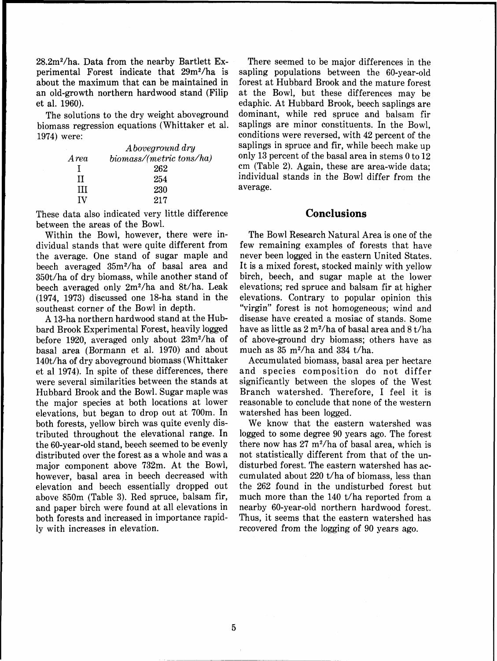28.2m2/ha. Data from the nearby Bartlett Experimental Forest indicate that 29m<sup>2</sup>/ha is about the maximum that can be maintained in an old-growth northern hardwood stand (Filip et al. 1960).

The solutions to the dry weight aboveground biomass regression equations (Whittaker et al. 1974) were:

|       | A boveground dry         |
|-------|--------------------------|
| A rea | biomass/(metric tons/ha) |
|       | 262                      |
| Н     | 254                      |
| ш     | 230                      |
| ΙV    | 217                      |

These data also indicated very little difference between the areas of the Bowl.

Within the Bowl, however, there were individual stands that were quite different from the average. One stand of sugar maple and beech averaged 35m2/ha of basal area and 350t/ha of dry biomass, while another stand of beech averaged only 2m2/ha and 8t/ha. Leak (1974, 1973) discussed one 18-ha stand in the southeast corner of the Bowl in depth.

A 13-ha northern hardwood stand at the Hubbard Brook Experimental Forest, heavily logged before 1920, averaged only about 23m2/ha of basal area (Bormann et al. 1970) and about 140t/ha of dry aboveground biomass (Whittaker et a1 1974). In spite of these differences, there were several similarities between the stands at Hubbard Brook and the Bowl. Sugar maple was the major species at both locations at lower elevations, but began to drop out at 700m. In both forests, yellow birch was quite evenly distributed throughout the elevational range. In the 60-year-old stand, beech seemed to be evenly distributed over the forest as a whole and was a major component above 732m. At the Bowl, however, basal area in beech decreased with elevation and beech essentially dropped out above 850m (Table 3). Red spruce, balsam fir, and paper birch were found at all elevations in both forests and increased in importance rapidly with increases in elevation.

There seemed to be major differences in the sapling populations between the 60-year-old forest at Hubbard Brook and the mature forest at the Bowl, but these differences may be edaphic. At Hubbard Brook, beech saplings are dominant, while red spruce and balsam fir saplings are minor constituents. In the Bowl, conditions were reversed, with 42 percent of the saplings in spruce and fir, while beech make up only 13 percent of the basal area in stems 0 to 12 cm (Table 2). Again, these are area-wide data; individual stands in the Bowl differ from the average.

#### **Conclusions**

The Bowl Research Natural Area is one of the few remaining examples of forests that have never been logged in the eastern United States. It is a mixed forest, stocked mainly with yellow birch, beech, and sugar maple at the lower elevations; red spruce and balsam fir at higher elevations. Contrary to popular opinion this "virgin" forest is not homogeneous; wind and disease have created a mosiac of stands. Some have as little as **2** m2/ha of basal area and 8 t/ha of above-ground dry biomass; others have as much as  $35 \text{ m}^2/\text{ha}$  and  $334 \text{ t}/\text{ha}$ .

Accumulated biomass, basal area per hectare and species composition do not differ significantly between the slopes of the West Branch watershed. Therefore, I feel it is reasonable to conclude that none of the western watershed has been logged.

We know that the eastern watershed was logged to some degree 90 years ago. The forest there now has **27** m2/ha of basal area, which is not statistically different from that of the undisturbed forest. The eastern watershed has accumulated about 220 t/ha of biomass, less than the 262 found in the undisturbed forest but much more than the 140 t/ha reported from a nearby 60-year-old northern hardwood forest. Thus, it seems that the eastern watershed has recovered from the logging of 90 years ago.